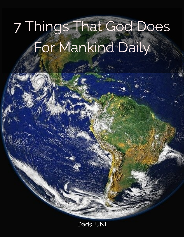# 7 Things That God Does For Mankind Daily

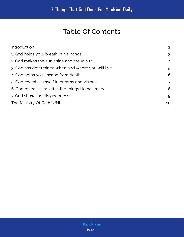# Table Of Contents

| Introduction                                       | $\overline{2}$ |
|----------------------------------------------------|----------------|
| 1. God holds your breath in his hands              | 3              |
| 2. God makes the sun shine and the rain fall       | $\overline{4}$ |
| 3. God has determined when and where you will live | 5              |
| 4. God helps you escape from death                 | 6              |
| 5. God reveals Himself in dreams and visions       | $\overline{7}$ |
| 6. God reveals Himself in the things He has made   | 8              |
| 7. God shows us His goodness                       | 9              |
| The Ministry Of Dads' UNI                          | 10             |
|                                                    |                |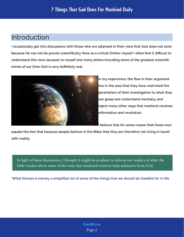## <span id="page-2-0"></span>Introduction

I occasionally get into discussions with those who are adamant in their view that God does not exist because He can not be proven scientifically. Now as a critical thinker myself I often find it difficult to understand this view, because to myself and many others including some of the greatest scientific minds of our time God is very definitely real.



In my experience, the flaw in their argument lies in the area that they have restricted the parameters of their investigation to what they can grasp and understand mentally, and reject many other ways that mankind receives

equate the fact that because people believe in the Bible that they are therefore not living in touch with reality.

In light of these discussions, I thought it might be prudent to inform our readers of what the bible teaches about some of the ways that mankind receives daily assistance from God.

\*What follows is merely a simplied list of some of the things that we should be thankful for in life.

Page 2 [DadsUNI.com](https://www.dadsuni.com/)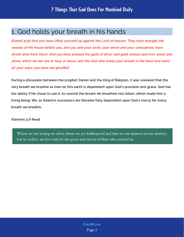## <span id="page-3-0"></span>1. God holds your breath in his hands

(Daniel 5:23) And you have lifted yourself up against the Lord of heaven. They have brought the vessels of His house before you, and you and your lords, your wives and your concubines, have drunk wine from them. And you have praised the gods of silver and gold, bronze and iron, wood and stone, which do not see or hear or know; and the God who holds your breath in His hand and owns all your ways, you have not glorified.

During a discussion between the prophet Daniel and the King of Babylon, it was revealed that the very breath we breathe as men on this earth is dependent upon God's provision and grace. God has the ability if He chose to use it, to rescind the breath He breathed into Adam, which made him a living being. We, as Adams's successors are likewise fully dependant upon God's mercy for every breath we breathe.

(Genesis 2:7) Read

When we are young we often think we are bulletproof and that we are masters of our destiny, but in reality, we live only by the grace and mercy of Him who created us.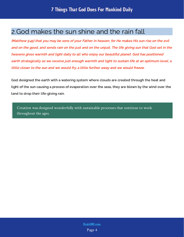# <span id="page-4-0"></span>2.God makes the sun shine and the rain fall

(Matthew 5:45) that you may be sons of your Father in heaven; for He makes His sun rise on the evil and on the good, and sends rain on the just and on the unjust. The life giving sun that God set in the heavens gives warmth and light daily to all who enjoy our beautiful planet. God has positioned earth strategically so we receive just enough warmth and light to sustain life at an optimum level, a little closer to the sun and we would fry, a little further away and we would freeze.

God designed the earth with a watering system where clouds are created through the heat and light of the sun causing a process of evaporation over the seas, they are blown by the wind over the land to drop their life-giving rain.

Creation was designed wonderfully with sustainable processes that continue to work throughout the ages.

> Page 4 [DadsUNI.com](https://www.dadsuni.com/)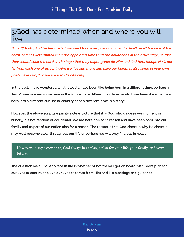# <span id="page-5-0"></span>3.God has determined when and where you will live

(Acts 17:26-28) And He has made from one blood every nation of men to dwell on all the face of the earth, and has determined their pre-appointed times and the boundaries of their dwellings, so that they should seek the Lord, in the hope that they might grope for Him and find Him, though He is not far from each one of us; for in Him we live and move and have our being, as also some of your own poets have said, 'For we are also His offspring.'

In the past, I have wondered what it would have been like being born in a dierent time, perhaps in Jesus' time or even some time in the future. How different our lives would have been if we had been born into a different culture or country or at a different time in history!

However, the above scripture paints a clear picture that it is God who chooses our moment in history, it is not random or accidental. We are here now for a reason and have been born into our family and as part of our nation also for a reason. The reason is that God chose it, why He chose it may well become clear throughout our life or perhaps we will only find out in heaven.

However, in my experience, God always has a plan, a plan for your life, your family, and your future.

The question we all have to face in life is whether or not we will get on board with God's plan for our lives or continue to live our lives separate from Him and His blessings and guidance.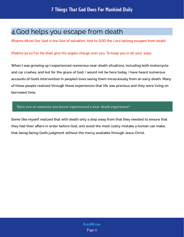# <span id="page-6-0"></span>4.God helps you escape from death

(Psalms 68:20) Our God is the God of salvation; And to GOD the Lord belong escapes from death.

#### (Psalms 91:11) For He shall give His angels charge over you, To keep you in all your ways.

When I was growing up I experienced numerous near-death situations, including both motorcycle and car crashes, and but for the grace of God, I would not be here today. I have heard numerous accounts of God's intervention in people's lives saving them miraculously from an early death. Many of these people realized through these experiences that life was precious and they were living on borrowed time.

#### Have you or someone you know experienced a near-death experience?

Some like myself realized that with death only a step away from that they needed to ensure that they had their affairs in order before God, and avoid the most costly mistake a human can make, that being facing God's judgment without the mercy available through Jesus Christ.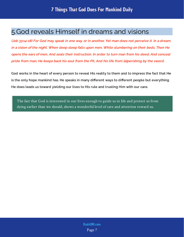# <span id="page-7-0"></span>5.God reveals Himself in dreams and visions

(Job 33:14-18) For God may speak in one way, or in another, Yet man does not perceive it. In a dream, in a vision of the night, When deep sleep falls upon men, While slumbering on their beds, Then He opens the ears of men, And seals their instruction. In order to turn man from his deed, And conceal pride from man, He keeps back his soul from the Pit, And his life from [a]perishing by the sword.

God works in the heart of every person to reveal His reality to them and to impress the fact that He is the only hope mankind has. He speaks in many different ways to different people but everything He does leads us toward yielding our lives to His rule and trusting Him with our care.

The fact that God is interested in our lives enough to guide us in life and protect us from dying earlier than we should, shows a wonderful level of care and attention toward us.

> Page 7 [DadsUNI.com](https://www.dadsuni.com/)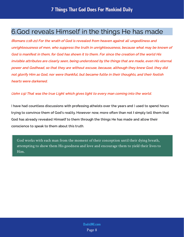# <span id="page-8-0"></span>6.God reveals Himself in the things He has made

(Romans 1:18-21) For the wrath of God is revealed from heaven against all ungodliness and unrighteousness of men, who suppress the truth in unrighteousness, because what may be known of God is manifest in them, for God has shown it to them. For since the creation of the world His invisible attributes are clearly seen, being understood by the things that are made, even His eternal power and Godhead, so that they are without excuse, because, although they knew God, they did not glorify Him as God, nor were thankful, but became futile in their thoughts, and their foolish hearts were darkened.

#### (John 1:9) That was the true Light which gives light to every man coming into the world.

I have had countless discussions with professing atheists over the years and I used to spend hours trying to convince them of God's reality. However now, more often than not I simply tell them that God has already revealed Himself to them through the things He has made and allow their conscience to speak to them about this truth.

God works with each man from the moment of their conception until their dying breath, attempting to show them His goodness and love and encourage them to yield their lives to Him.

> Page 8 [DadsUNI.com](https://www.dadsuni.com/)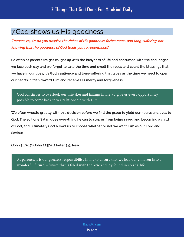# <span id="page-9-0"></span>7.God shows us His goodness

(Romans 2:4) Or do you despise the riches of His goodness, forbearance, and long-suffering, not knowing that the goodness of God leads you to repentance?

So often as parents we get caught up with the busyness of life and consumed with the challenges we face each day and we forget to take the time and smell the roses and count the blessings that we have in our lives. It's God's patience and long-suffering that gives us the time we need to open our hearts in faith toward Him and receive His mercy and forgiveness.

God continues to overlook our mistakes and failings in life, to give us every opportunity possible to come back into a relationship with Him

We often wrestle greatly with this decision before we find the grace to yield our hearts and lives to God. The evil one Satan does everything he can to stop us from being saved and becoming a child of God, and ultimately God allows us to choose whether or not we want Him as our Lord and Saviour.

(John 3:16-17) (John 12:50) (2 Peter 3:9) Read

As parents, it is our greatest responsibility in life to ensure that we lead our children into a wonderful future, a future that is filled with the love and joy found in eternal life.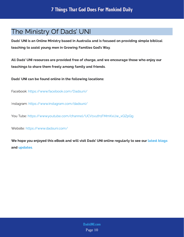# <span id="page-10-0"></span>The Ministry Of Dads' UNI

Dads' UNI is an Online Ministry based in Australia and is focused on providing simple biblical teaching to assist young men in Growing Families God's Way.

All Dads' UNI resources are provided free of charge, and we encourage those who enjoy our teachings to share them freely among family and friends.

Dads' UNI can be found online in the following locations:

Facebook: <https://www.facebook.com/Dadsuni/>

Instagram:<https://www.instagram.com/dadsuni/>

You Tube: [https://www.youtube.com/channel/UCV1vuth1FMmKxiJw\\_xQZpQg](https://www.youtube.com/channel/UCV1vuth1FMmKxiJw_xQZpQg)

Website: <https://www.dadsuni.com/>

We hope you enjoyed this eBook and will visit Dads' UNI online regularly to see our  [latest blogs](https://www.dadsuni.com/parenting-blog) and [updates.](https://www.dadsuni.com/)

> Page 10 [DadsUNI.com](https://www.dadsuni.com/)